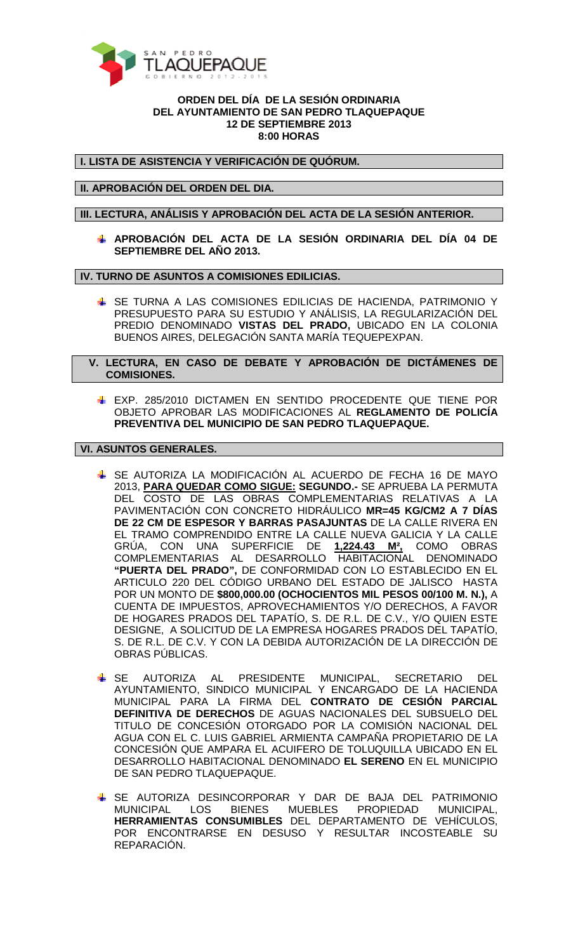

## **ORDEN DEL DÍA DE LA SESIÓN ORDINARIA DEL AYUNTAMIENTO DE SAN PEDRO TLAQUEPAQUE 12 DE SEPTIEMBRE 2013 8:00 HORAS**

**I. LISTA DE ASISTENCIA Y VERIFICACIÓN DE QUÓRUM.** 

**II. APROBACIÓN DEL ORDEN DEL DIA.** 

**III. LECTURA, ANÁLISIS Y APROBACIÓN DEL ACTA DE LA SESIÓN ANTERIOR.** 

**APROBACIÓN DEL ACTA DE LA SESIÓN ORDINARIA DEL DÍA 04 DE SEPTIEMBRE DEL AÑO 2013.** 

**IV. TURNO DE ASUNTOS A COMISIONES EDILICIAS.** 

- **SE TURNA A LAS COMISIONES EDILICIAS DE HACIENDA, PATRIMONIO Y** PRESUPUESTO PARA SU ESTUDIO Y ANÁLISIS, LA REGULARIZACIÓN DEL PREDIO DENOMINADO **VISTAS DEL PRADO,** UBICADO EN LA COLONIA BUENOS AIRES, DELEGACIÓN SANTA MARÍA TEQUEPEXPAN.
- **V. LECTURA, EN CASO DE DEBATE Y APROBACIÓN DE DICTÁMENES DE COMISIONES.** 
	- EXP. 285/2010 DICTAMEN EN SENTIDO PROCEDENTE QUE TIENE POR OBJETO APROBAR LAS MODIFICACIONES AL **REGLAMENTO DE POLICÍA PREVENTIVA DEL MUNICIPIO DE SAN PEDRO TLAQUEPAQUE.**

**VI. ASUNTOS GENERALES.** 

- SE AUTORIZA LA MODIFICACIÓN AL ACUERDO DE FECHA 16 DE MAYO 2013, **PARA QUEDAR COMO SIGUE: SEGUNDO.-** SE APRUEBA LA PERMUTA DEL COSTO DE LAS OBRAS COMPLEMENTARIAS RELATIVAS A LA PAVIMENTACIÓN CON CONCRETO HIDRÁULICO **MR=45 KG/CM2 A 7 DÍAS DE 22 CM DE ESPESOR Y BARRAS PASAJUNTAS** DE LA CALLE RIVERA EN EL TRAMO COMPRENDIDO ENTRE LA CALLE NUEVA GALICIA Y LA CALLE GRÚA, CON UNA SUPERFICIE DE **1,224.43 M²,** COMO OBRAS COMPLEMENTARIAS AL DESARROLLO HABITACIONAL DENOMINADO **"PUERTA DEL PRADO",** DE CONFORMIDAD CON LO ESTABLECIDO EN EL ARTICULO 220 DEL CÓDIGO URBANO DEL ESTADO DE JALISCO HASTA POR UN MONTO DE **\$800,000.00 (OCHOCIENTOS MIL PESOS 00/100 M. N.),** A CUENTA DE IMPUESTOS, APROVECHAMIENTOS Y/O DERECHOS, A FAVOR DE HOGARES PRADOS DEL TAPATÍO, S. DE R.L. DE C.V., Y/O QUIEN ESTE DESIGNE, A SOLICITUD DE LA EMPRESA HOGARES PRADOS DEL TAPATÍO, S. DE R.L. DE C.V. Y CON LA DEBIDA AUTORIZACIÓN DE LA DIRECCIÓN DE OBRAS PÚBLICAS.
- SE AUTORIZA AL PRESIDENTE MUNICIPAL, SECRETARIO DEL AYUNTAMIENTO, SINDICO MUNICIPAL Y ENCARGADO DE LA HACIENDA MUNICIPAL PARA LA FIRMA DEL **CONTRATO DE CESIÓN PARCIAL DEFINITIVA DE DERECHOS** DE AGUAS NACIONALES DEL SUBSUELO DEL TITULO DE CONCESIÓN OTORGADO POR LA COMISIÓN NACIONAL DEL AGUA CON EL C. LUIS GABRIEL ARMIENTA CAMPAÑA PROPIETARIO DE LA CONCESIÓN QUE AMPARA EL ACUIFERO DE TOLUQUILLA UBICADO EN EL DESARROLLO HABITACIONAL DENOMINADO **EL SERENO** EN EL MUNICIPIO DE SAN PEDRO TLAQUEPAQUE.
- SE AUTORIZA DESINCORPORAR Y DAR DE BAJA DEL PATRIMONIO MUNICIPAL LOS BIENES MUEBLES PROPIEDAD MUNICIPAL, **HERRAMIENTAS CONSUMIBLES** DEL DEPARTAMENTO DE VEHÍCULOS, POR ENCONTRARSE EN DESUSO Y RESULTAR INCOSTEABLE SU REPARACIÓN.